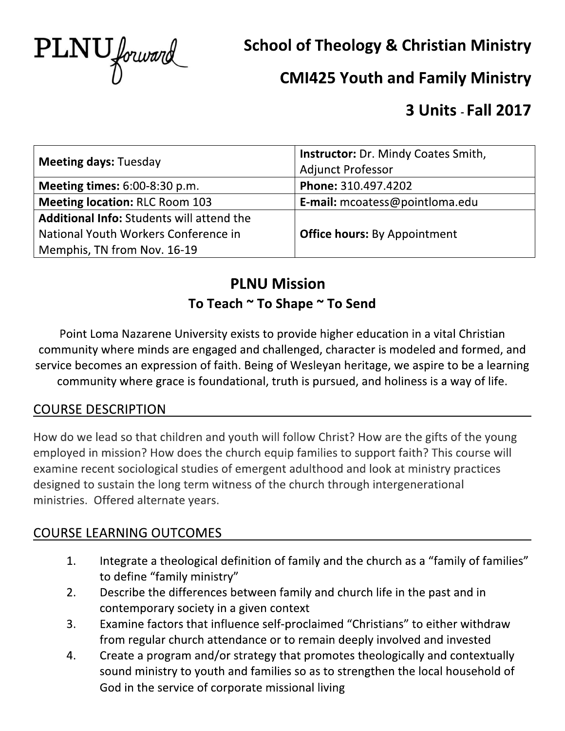

**School of Theology & Christian Ministry** 

# **CMI425 Youth and Family Ministry**

# **3 Units - Fall 2017**

| <b>Meeting days: Tuesday</b>                     | <b>Instructor:</b> Dr. Mindy Coates Smith, |  |
|--------------------------------------------------|--------------------------------------------|--|
|                                                  | <b>Adjunct Professor</b>                   |  |
| <b>Meeting times:</b> $6:00-8:30$ p.m.           | Phone: 310.497.4202                        |  |
| <b>Meeting location: RLC Room 103</b>            | <b>E-mail:</b> mcoatess@pointloma.edu      |  |
| <b>Additional Info: Students will attend the</b> |                                            |  |
| National Youth Workers Conference in             | <b>Office hours: By Appointment</b>        |  |
| Memphis, TN from Nov. 16-19                      |                                            |  |

# **PLNU Mission** To Teach ~ To Shape ~ To Send

Point Loma Nazarene University exists to provide higher education in a vital Christian community where minds are engaged and challenged, character is modeled and formed, and service becomes an expression of faith. Being of Wesleyan heritage, we aspire to be a learning community where grace is foundational, truth is pursued, and holiness is a way of life.

## **COURSE DESCRIPTION**

How do we lead so that children and youth will follow Christ? How are the gifts of the young employed in mission? How does the church equip families to support faith? This course will examine recent sociological studies of emergent adulthood and look at ministry practices designed to sustain the long term witness of the church through intergenerational ministries. Offered alternate years.

## **COURSE LEARNING OUTCOMES**

- Integrate a theological definition of family and the church as a "family of families"  $\mathbf{1}$ . to define "family ministry"
- $2.$ Describe the differences between family and church life in the past and in contemporary society in a given context
- $3.$ Examine factors that influence self-proclaimed "Christians" to either withdraw from regular church attendance or to remain deeply involved and invested
- Create a program and/or strategy that promotes theologically and contextually 4. sound ministry to youth and families so as to strengthen the local household of God in the service of corporate missional living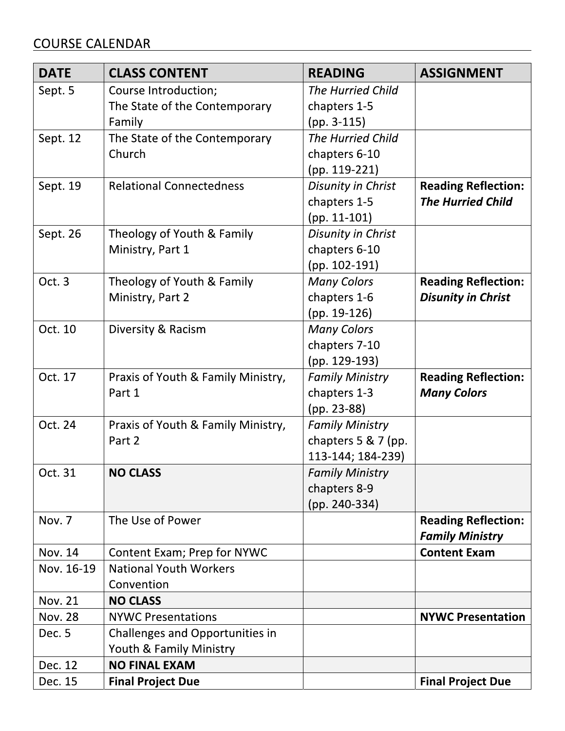## **COURSE CALENDAR**

| <b>DATE</b>    | <b>CLASS CONTENT</b>               | <b>READING</b>           | <b>ASSIGNMENT</b>          |
|----------------|------------------------------------|--------------------------|----------------------------|
| Sept. 5        | Course Introduction;               | <b>The Hurried Child</b> |                            |
|                | The State of the Contemporary      | chapters 1-5             |                            |
|                | Family                             | $(pp. 3-115)$            |                            |
| Sept. 12       | The State of the Contemporary      | <b>The Hurried Child</b> |                            |
|                | Church                             | chapters 6-10            |                            |
|                |                                    | (pp. 119-221)            |                            |
| Sept. 19       | <b>Relational Connectedness</b>    | Disunity in Christ       | <b>Reading Reflection:</b> |
|                |                                    | chapters 1-5             | <b>The Hurried Child</b>   |
|                |                                    | $(pp. 11-101)$           |                            |
| Sept. 26       | Theology of Youth & Family         | Disunity in Christ       |                            |
|                | Ministry, Part 1                   | chapters 6-10            |                            |
|                |                                    | $(pp. 102-191)$          |                            |
| Oct. 3         | Theology of Youth & Family         | <b>Many Colors</b>       | <b>Reading Reflection:</b> |
|                | Ministry, Part 2                   | chapters 1-6             | <b>Disunity in Christ</b>  |
|                |                                    | (pp. 19-126)             |                            |
| Oct. 10        | Diversity & Racism                 | <b>Many Colors</b>       |                            |
|                |                                    | chapters 7-10            |                            |
|                |                                    | (pp. 129-193)            |                            |
| Oct. 17        | Praxis of Youth & Family Ministry, | <b>Family Ministry</b>   | <b>Reading Reflection:</b> |
|                | Part 1                             | chapters 1-3             | <b>Many Colors</b>         |
|                |                                    | (pp. 23-88)              |                            |
| Oct. 24        | Praxis of Youth & Family Ministry, | <b>Family Ministry</b>   |                            |
|                | Part 2                             | chapters $5 & 7$ (pp.    |                            |
|                |                                    | 113-144; 184-239)        |                            |
| Oct. 31        | <b>NO CLASS</b>                    | <b>Family Ministry</b>   |                            |
|                |                                    | chapters 8-9             |                            |
|                |                                    | (pp. 240-334)            |                            |
| Nov. 7         | The Use of Power                   |                          | <b>Reading Reflection:</b> |
|                |                                    |                          | <b>Family Ministry</b>     |
| <b>Nov. 14</b> | Content Exam; Prep for NYWC        |                          | <b>Content Exam</b>        |
| Nov. 16-19     | <b>National Youth Workers</b>      |                          |                            |
|                | Convention                         |                          |                            |
| <b>Nov. 21</b> | <b>NO CLASS</b>                    |                          |                            |
| <b>Nov. 28</b> | <b>NYWC Presentations</b>          |                          | <b>NYWC Presentation</b>   |
| Dec. 5         | Challenges and Opportunities in    |                          |                            |
|                | Youth & Family Ministry            |                          |                            |
| Dec. 12        | <b>NO FINAL EXAM</b>               |                          |                            |
| Dec. 15        | <b>Final Project Due</b>           |                          | <b>Final Project Due</b>   |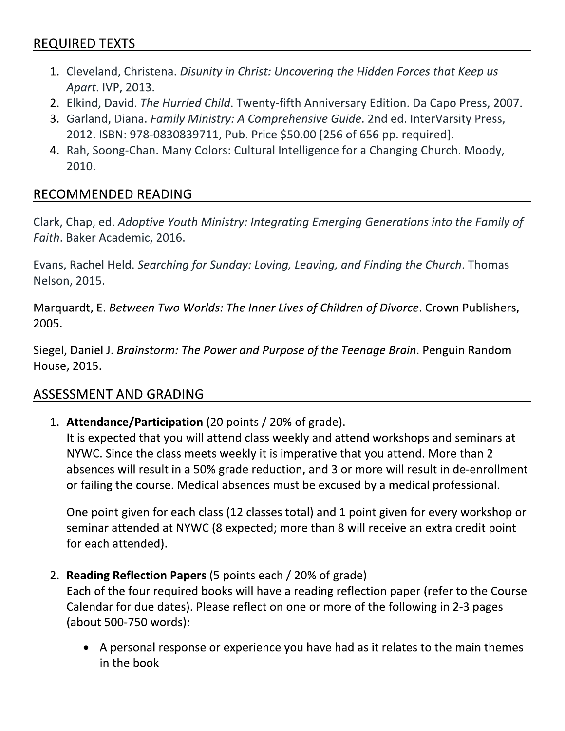## **REQUIRED TEXTS**

- 1. Cleveland, Christena. Disunity in Christ: Uncovering the Hidden Forces that Keep us Apart. IVP, 2013.
- 2. Elkind, David. The Hurried Child. Twenty-fifth Anniversary Edition. Da Capo Press, 2007.
- 3. Garland, Diana. Family Ministry: A Comprehensive Guide. 2nd ed. InterVarsity Press, 2012. ISBN: 978-0830839711, Pub. Price \$50.00 [256 of 656 pp. required].
- 4. Rah, Soong-Chan. Many Colors: Cultural Intelligence for a Changing Church. Moody, 2010.

### **RECOMMENDED READING**

Clark, Chap, ed. Adoptive Youth Ministry: Integrating Emerging Generations into the Family of Faith. Baker Academic, 2016.

Evans, Rachel Held. Searching for Sunday: Loving, Leaving, and Finding the Church. Thomas Nelson, 2015.

Marquardt, E. Between Two Worlds: The Inner Lives of Children of Divorce. Crown Publishers, 2005.

Siegel, Daniel J. Brainstorm: The Power and Purpose of the Teenage Brain. Penguin Random House, 2015.

### **ASSESSMENT AND GRADING**

1. Attendance/Participation (20 points / 20% of grade).

It is expected that you will attend class weekly and attend workshops and seminars at NYWC. Since the class meets weekly it is imperative that you attend. More than 2 absences will result in a 50% grade reduction, and 3 or more will result in de-enrollment or failing the course. Medical absences must be excused by a medical professional.

One point given for each class (12 classes total) and 1 point given for every workshop or seminar attended at NYWC (8 expected; more than 8 will receive an extra credit point for each attended).

2. Reading Reflection Papers (5 points each / 20% of grade)

Each of the four required books will have a reading reflection paper (refer to the Course Calendar for due dates). Please reflect on one or more of the following in 2-3 pages (about 500-750 words):

• A personal response or experience you have had as it relates to the main themes in the book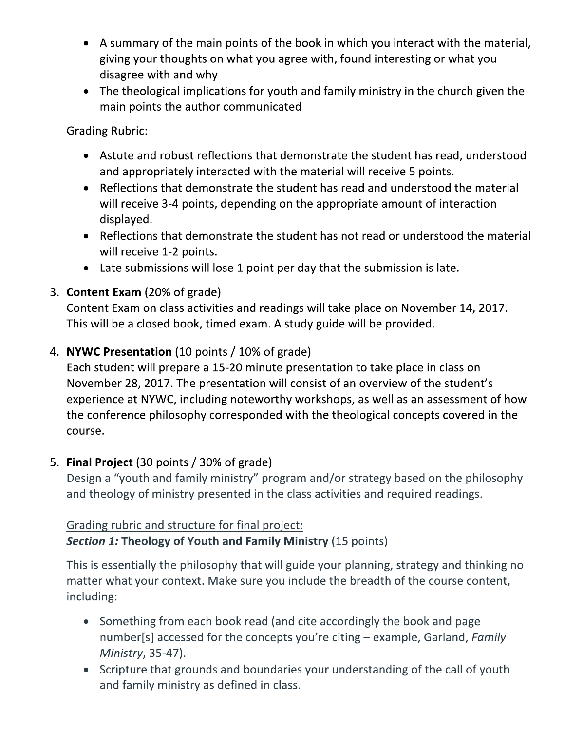- A summary of the main points of the book in which you interact with the material, giving your thoughts on what you agree with, found interesting or what you disagree with and why
- The theological implications for youth and family ministry in the church given the main points the author communicated

**Grading Rubric:** 

- Astute and robust reflections that demonstrate the student has read, understood and appropriately interacted with the material will receive 5 points.
- Reflections that demonstrate the student has read and understood the material will receive 3-4 points, depending on the appropriate amount of interaction displayed.
- Reflections that demonstrate the student has not read or understood the material will receive 1-2 points.
- Late submissions will lose 1 point per day that the submission is late.

### 3. Content Exam (20% of grade)

Content Exam on class activities and readings will take place on November 14, 2017. This will be a closed book, timed exam. A study guide will be provided.

### 4. NYWC Presentation (10 points / 10% of grade)

Each student will prepare a 15-20 minute presentation to take place in class on November 28, 2017. The presentation will consist of an overview of the student's experience at NYWC, including noteworthy workshops, as well as an assessment of how the conference philosophy corresponded with the theological concepts covered in the course.

### 5. Final Project (30 points / 30% of grade)

Design a "youth and family ministry" program and/or strategy based on the philosophy and theology of ministry presented in the class activities and required readings.

#### Grading rubric and structure for final project: **Section 1: Theology of Youth and Family Ministry (15 points)**

This is essentially the philosophy that will guide your planning, strategy and thinking no matter what your context. Make sure you include the breadth of the course content, including:

- Something from each book read (and cite accordingly the book and page number[s] accessed for the concepts you're citing - example, Garland, Family Ministry, 35-47).
- Scripture that grounds and boundaries your understanding of the call of youth and family ministry as defined in class.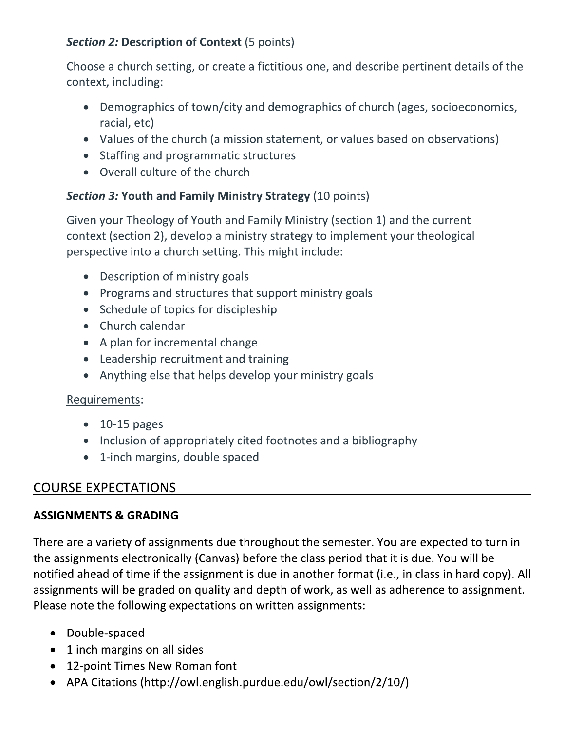## **Section 2: Description of Context (5 points)**

Choose a church setting, or create a fictitious one, and describe pertinent details of the context, including:

- Demographics of town/city and demographics of church (ages, socioeconomics, racial, etc)
- Values of the church (a mission statement, or values based on observations)
- Staffing and programmatic structures
- Overall culture of the church

### **Section 3: Youth and Family Ministry Strategy (10 points)**

Given your Theology of Youth and Family Ministry (section 1) and the current context (section 2), develop a ministry strategy to implement your theological perspective into a church setting. This might include:

- Description of ministry goals
- Programs and structures that support ministry goals
- Schedule of topics for discipleship
- Church calendar
- A plan for incremental change
- Leadership recruitment and training
- Anything else that helps develop your ministry goals

### Requirements:

- $\bullet$  10-15 pages
- Inclusion of appropriately cited footnotes and a bibliography
- 1-inch margins, double spaced

## **COURSE EXPECTATIONS**

### **ASSIGNMENTS & GRADING**

There are a variety of assignments due throughout the semester. You are expected to turn in the assignments electronically (Canvas) before the class period that it is due. You will be notified ahead of time if the assignment is due in another format (i.e., in class in hard copy). All assignments will be graded on quality and depth of work, as well as adherence to assignment. Please note the following expectations on written assignments:

- Double-spaced
- 1 inch margins on all sides
- 12-point Times New Roman font
- APA Citations (http://owl.english.purdue.edu/owl/section/2/10/)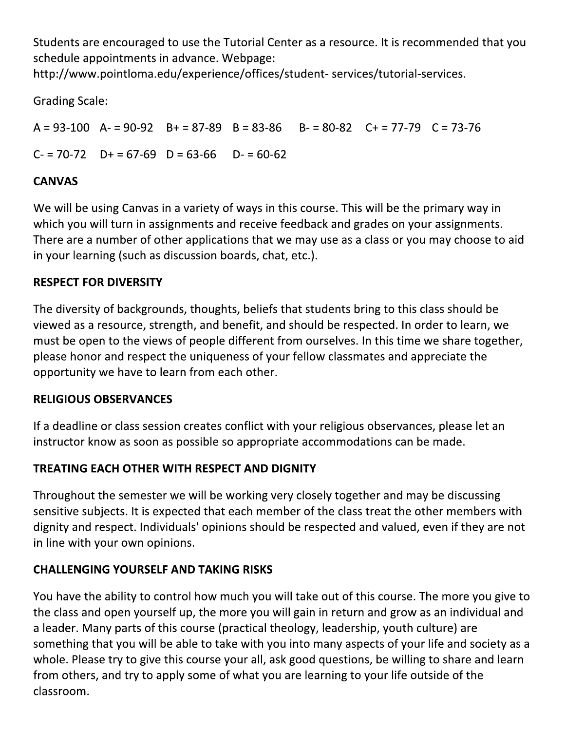Students are encouraged to use the Tutorial Center as a resource. It is recommended that you schedule appointments in advance. Webpage:

http://www.pointloma.edu/experience/offices/student-services/tutorial-services.

**Grading Scale:** 

 $A = 93-100$   $A = 90-92$   $B = 87-89$   $B = 83-86$  $B = 80-82$   $C = 77-79$   $C = 73-76$  $C = 70-72$   $D+ = 67-69$   $D = 63-66$   $D- = 60-62$ 

## **CANVAS**

We will be using Canvas in a variety of ways in this course. This will be the primary way in which you will turn in assignments and receive feedback and grades on your assignments. There are a number of other applications that we may use as a class or you may choose to aid in your learning (such as discussion boards, chat, etc.).

## **RESPECT FOR DIVERSITY**

The diversity of backgrounds, thoughts, beliefs that students bring to this class should be viewed as a resource, strength, and benefit, and should be respected. In order to learn, we must be open to the views of people different from ourselves. In this time we share together, please honor and respect the uniqueness of your fellow classmates and appreciate the opportunity we have to learn from each other.

## **RELIGIOUS OBSERVANCES**

If a deadline or class session creates conflict with your religious observances, please let an instructor know as soon as possible so appropriate accommodations can be made.

## **TREATING EACH OTHER WITH RESPECT AND DIGNITY**

Throughout the semester we will be working very closely together and may be discussing sensitive subjects. It is expected that each member of the class treat the other members with dignity and respect. Individuals' opinions should be respected and valued, even if they are not in line with your own opinions.

## **CHALLENGING YOURSELF AND TAKING RISKS**

You have the ability to control how much you will take out of this course. The more you give to the class and open yourself up, the more you will gain in return and grow as an individual and a leader. Many parts of this course (practical theology, leadership, youth culture) are something that you will be able to take with you into many aspects of your life and society as a whole. Please try to give this course your all, ask good questions, be willing to share and learn from others, and try to apply some of what you are learning to your life outside of the classroom.